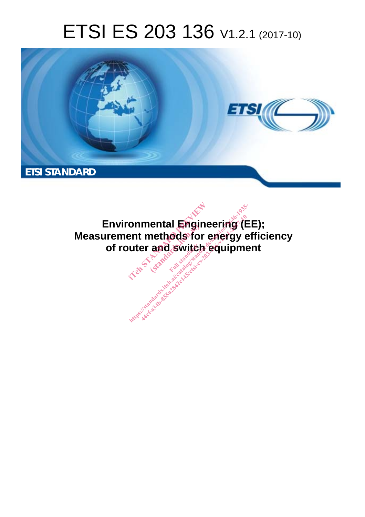# ETSI ES 203 136 V1.2.1 (2017-10)



**Environmental Engineering (EE); Measurement methods for energy efficiency of router and switch equipment**  onmental Engineer<br>ent methods for engineer<br>uter and switch eq entar **Engir<br>nethods for**<br>and switch onmental Engineering (Election Contracts of Superintent Contracts of Contracts of Contracts of Contracts of Contracts of Contracts of Contracts of Contracts of Contracts of Contracts of Contracts of Contracts of Contracts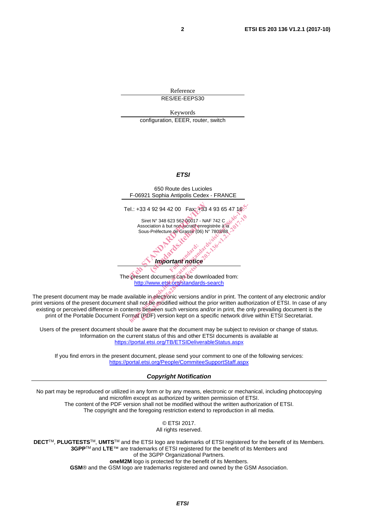Reference RES/EE-EEPS30

Keywords configuration, EEER, router, switch

#### *ETSI*



http://www.etsi.org/standards-search

The present document may be made available in electronic versions and/or in print. The content of any electronic and/or print versions of the present document shall not be modified without the prior written authorization of ETSI. In case of any existing or perceived difference in contents between such versions and/or in print, the only prevailing document is the print of the Portable Document Format (PDF) version kept on a specific network drive within ETSI Secretariat.

Users of the present document should be aware that the document may be subject to revision or change of status. Information on the current status of this and other ETSI documents is available at https://portal.etsi.org/TB/ETSIDeliverableStatus.aspx

If you find errors in the present document, please send your comment to one of the following services: https://portal.etsi.org/People/CommiteeSupportStaff.aspx

#### *Copyright Notification*

No part may be reproduced or utilized in any form or by any means, electronic or mechanical, including photocopying and microfilm except as authorized by written permission of ETSI. The content of the PDF version shall not be modified without the written authorization of ETSI. The copyright and the foregoing restriction extend to reproduction in all media.

> © ETSI 2017. All rights reserved.

**DECT**TM, **PLUGTESTS**TM, **UMTS**TM and the ETSI logo are trademarks of ETSI registered for the benefit of its Members. **3GPP**TM and **LTE**™ are trademarks of ETSI registered for the benefit of its Members and of the 3GPP Organizational Partners. **oneM2M** logo is protected for the benefit of its Members.

**GSM**® and the GSM logo are trademarks registered and owned by the GSM Association.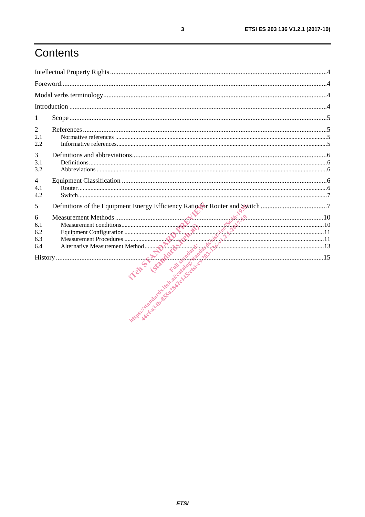# Contents

| 1                                                                                 |  |
|-----------------------------------------------------------------------------------|--|
| $\overline{2}$<br>2.1<br>2.2                                                      |  |
| 3<br>3.1<br>3.2                                                                   |  |
| $\overline{4}$<br>4.1<br>4.2                                                      |  |
| Definitions of the Equipment Energy Efficiency Ratio for Router and Switch 7<br>5 |  |
| 6                                                                                 |  |
|                                                                                   |  |

 $\overline{\mathbf{3}}$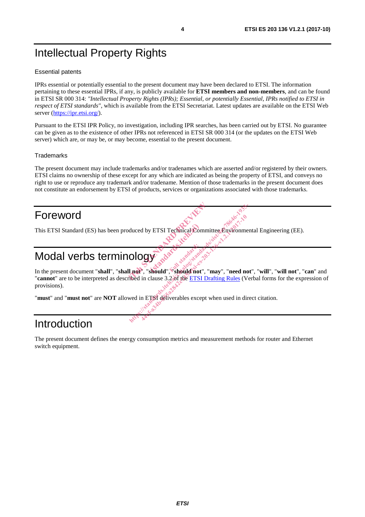# Intellectual Property Rights

#### Essential patents

IPRs essential or potentially essential to the present document may have been declared to ETSI. The information pertaining to these essential IPRs, if any, is publicly available for **ETSI members and non-members**, and can be found in ETSI SR 000 314: *"Intellectual Property Rights (IPRs); Essential, or potentially Essential, IPRs notified to ETSI in respect of ETSI standards"*, which is available from the ETSI Secretariat. Latest updates are available on the ETSI Web server (https://ipr.etsi.org/).

Pursuant to the ETSI IPR Policy, no investigation, including IPR searches, has been carried out by ETSI. No guarantee can be given as to the existence of other IPRs not referenced in ETSI SR 000 314 (or the updates on the ETSI Web server) which are, or may be, or may become, essential to the present document.

#### **Trademarks**

The present document may include trademarks and/or tradenames which are asserted and/or registered by their owners. ETSI claims no ownership of these except for any which are indicated as being the property of ETSI, and conveys no right to use or reproduce any trademark and/or tradename. Mention of those trademarks in the present document does not constitute an endorsement by ETSI of products, services or organizations associated with those trademarks.

## Foreword

This ETSI Standard (ES) has been produced by ETSI Technical Committee Environmental Engineering (EE). In the present document "**shall**", "**shall not**", "**should**", "should", "should not", "**may**", "need not", "will", "will not", "can" and

# Modal verbs terminology

"**cannot**" are to be interpreted as described in clause 3.2 of the ETSI Drafting Rules (Verbal forms for the expression of provisions). duced by ETSI Technical Committee duced by ETSI Technical Committee Environment<br>Ology and the state of the standards of the standards of the standards of the standard signal of the standard signal of the standard standards of the standard signal of the sta d by ETSI Technical Committee Environment<br>
1994<br>
24 and 24 degree of the conduction of the conduction of the conduction of the conduction of the conduction of the conduction of the conduction of the conduction of the condu

"**must**" and "**must not**" are **NOT** allowed in ETSI deliverables except when used in direct citation.

## Introduction

The present document defines the energy consumption metrics and measurement methods for router and Ethernet switch equipment.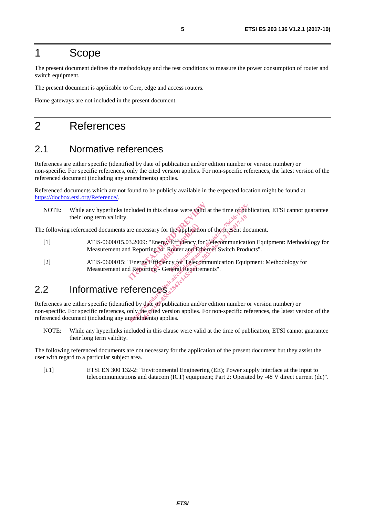## 1 Scope

The present document defines the methodology and the test conditions to measure the power consumption of router and switch equipment.

The present document is applicable to Core, edge and access routers.

Home gateways are not included in the present document.

## 2 References

#### 2.1 Normative references

References are either specific (identified by date of publication and/or edition number or version number) or non-specific. For specific references, only the cited version applies. For non-specific references, the latest version of the referenced document (including any amendments) applies.

Referenced documents which are not found to be publicly available in the expected location might be found at https://docbox.etsi.org/Reference/.

NOTE: While any hyperlinks included in this clause were valid at the time of publication, ETSI cannot guarantee their long term validity. included in this clause were valid at the<br>
increase were valid at the<br>
increase of the application of the<br>
increase of Router and Ethernet S<br>
Tehering Efficiency for Telecommunic<br>
Increase Efficiency for Telecommunic<br>
depo

- [1] ATIS-0600015.03.2009: "Energy Efficiency for Telecommunication Equipment: Methodology for Measurement and Reporting for Router and Ethernet Switch Products".
- The following referenced documents are necessary for the application of the present document.<br>
(1) ATIS-0600015.03.2009: "Energy Efficiency for Telecommunication Equip<br>
Measurement and Reporting for Router and Ethernet Swi [2] ATIS-0600015: "Energy Efficiency for Telecommunication Equipment: Methodology for Measurement and Reporting - General Requirements". Fuller and Ethecore<br>Full cy for Telecore<br>Telecore

## 2.2 Informative references

References are either specific (identified by date of publication and/or edition number or version number) or non-specific. For specific references, only the cited version applies. For non-specific references, the latest version of the referenced document (including any amendments) applies. de the methods. The propriet of the application of the present does<br>
active increase the application of the present does<br>
3.2009: "Energy Efficiency for Telecommunication<br>
Reporting for Router and Ethernet Switch Produce<br> Examples and Ethernet Switch Production of the Present doorting for Router and Ethernet Switch Production Continues of Telecommunication Equipments<br>orting - General Reguliements".<br>Concept Content Reguliements and Content C

NOTE: While any hyperlinks included in this clause were valid at the time of publication, ETSI cannot guarantee their long term validity.

The following referenced documents are not necessary for the application of the present document but they assist the user with regard to a particular subject area.

[i.1] ETSI EN 300 132-2: "Environmental Engineering (EE); Power supply interface at the input to telecommunications and datacom (ICT) equipment; Part 2: Operated by -48 V direct current (dc)".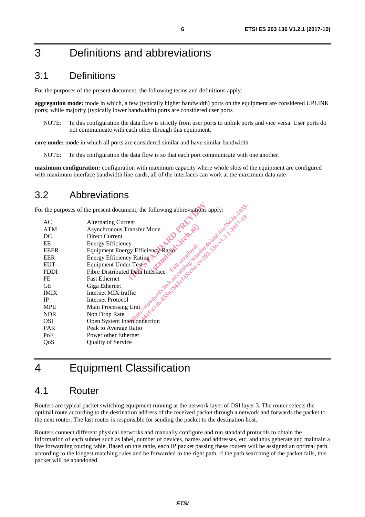## 3 Definitions and abbreviations

#### 3.1 Definitions

For the purposes of the present document, the following terms and definitions apply:

**aggregation mode:** mode in which, a few (typically higher bandwidth) ports on the equipment are considered UPLINK ports; while majority (typically lower bandwidth) ports are considered user ports

NOTE: In this configuration the data flow is strictly from user ports to uplink ports and vice versa. User ports do not communicate with each other through this equipment.

**core mode:** mode in which all ports are considered similar and have similar bandwidth

NOTE: In this configuration the data flow is so that each port communicate with one another.

**maximum configuration:** configuration with maximum capacity where whole slots of the equipment are configured with maximum interface bandwidth line cards, all of the interfaces can work at the maximum data rate

#### 3.2 Abbreviations

|             | The Terms of the Contract of the Contract of the Contract of the Contract of the Contract of the Contract of the Contract of the Contract of the Contract of the Contract of the Contract of the Contract of the Contract of t<br>r the purposes of the present document, the following abbreviations apply: |
|-------------|--------------------------------------------------------------------------------------------------------------------------------------------------------------------------------------------------------------------------------------------------------------------------------------------------------------|
| AC          |                                                                                                                                                                                                                                                                                                              |
| <b>ATM</b>  |                                                                                                                                                                                                                                                                                                              |
| DC          |                                                                                                                                                                                                                                                                                                              |
| EE          |                                                                                                                                                                                                                                                                                                              |
| <b>EEER</b> |                                                                                                                                                                                                                                                                                                              |
| <b>EER</b>  |                                                                                                                                                                                                                                                                                                              |
| <b>EUT</b>  |                                                                                                                                                                                                                                                                                                              |
| <b>FDDI</b> |                                                                                                                                                                                                                                                                                                              |
| FE          |                                                                                                                                                                                                                                                                                                              |
| <b>GE</b>   |                                                                                                                                                                                                                                                                                                              |
| <b>IMIX</b> |                                                                                                                                                                                                                                                                                                              |
| <b>IP</b>   |                                                                                                                                                                                                                                                                                                              |
| <b>MPU</b>  |                                                                                                                                                                                                                                                                                                              |
| <b>NDR</b>  |                                                                                                                                                                                                                                                                                                              |
| <b>OSI</b>  |                                                                                                                                                                                                                                                                                                              |
| <b>PAR</b>  |                                                                                                                                                                                                                                                                                                              |
| PoE         | Power other Ethernet                                                                                                                                                                                                                                                                                         |
| QoS         | <b>Quality of Service</b>                                                                                                                                                                                                                                                                                    |

## 4 Equipment Classification

#### 4.1 Router

Routers are typical packet switching equipment running at the network layer of OSI layer 3. The router selects the optimal route according to the destination address of the received packet through a network and forwards the packet to the next router. The last router is responsible for sending the packet to the destination host.

Routers connect different physical networks and manually configure and run standard protocols to obtain the information of each subnet such as label, number of devices, names and addresses, etc. and thus generate and maintain a live forwarding routing table. Based on this table, each IP packet passing these routers will be assigned an optimal path according to the longest matching rules and be forwarded to the right path, if the path searching of the packet fails, this packet will be abandoned.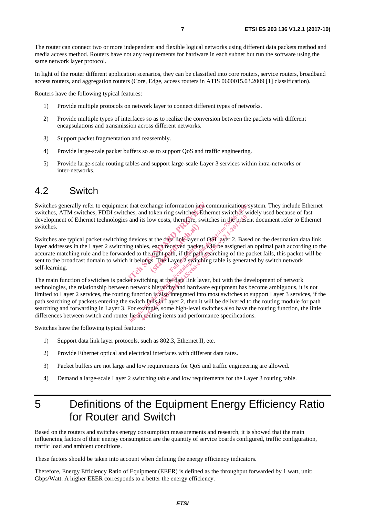The router can connect two or more independent and flexible logical networks using different data packets method and media access method. Routers have not any requirements for hardware in each subnet but run the software using the same network layer protocol.

In light of the router different application scenarios, they can be classified into core routers, service routers, broadband access routers, and aggregation routers (Core, Edge, access routers in ATIS 0600015.03.2009 [1] classification).

Routers have the following typical features:

- 1) Provide multiple protocols on network layer to connect different types of networks.
- 2) Provide multiple types of interfaces so as to realize the conversion between the packets with different encapsulations and transmission across different networks.
- 3) Support packet fragmentation and reassembly.
- 4) Provide large-scale packet buffers so as to support QoS and traffic engineering.
- 5) Provide large-scale routing tables and support large-scale Layer 3 services within intra-networks or inter-networks.

#### 4.2 Switch

Switches generally refer to equipment that exchange information in a communications system. They include Ethernet switches, ATM switches, FDDI switches, and token ring switches. Ethernet switch is widely used because of fast development of Ethernet technologies and its low costs, therefore, switches in the present document refer to Ethernet switches.

Switches are typical packet switching devices at the data link layer of OSI layer 2. Based on the destination data link layer addresses in the Layer 2 switching tables, each received packet, will be assigned an optimal path according to the accurate matching rule and be forwarded to the right path, if the path searching of the packet fails, this packet will be sent to the broadcast domain to which it belongs. The Layer 2 switching table is generated by switch network self-learning. that exchange information in a commutes, and token ring switches. Ethernet<br>and its low costs, therefore, switches<br>devices at the data link layer of OSI la<br>devices at the data link layer of OSI la<br>led to the right path, if at the data link layer of<br>
each received packet<br>
ful standard: if the path<br>
Ful Layer 2 switch

The main function of switches is packet switching at the data link layer, but with the development of network technologies, the relationship between network hierarchy and hardware equipment has become ambiguous, it is not limited to Layer 2 services, the routing function is also integrated into most switches to support Layer 3 services, if the path searching of packets entering the switch fails  $\sin^2\theta$  and it will be delivered to the routing module for path searching and forwarding in Layer 3. For example, some high-level switches also have the routing function, the little differences between switch and router liest routing items and performance specifications. that exchange information in a communications'sy<br>
less, and token ring switches. Ethernet switch is wide<br>
and its low costs, therefore, switches in the present<br>
devices at the data link layer of OSI layer 2. Based<br>
and to the solution of the presence of the presence of the presence of the presence of the data link layer of OSI layer 2. Bas bles, each received packet, will be assigned the right path, if the path searching of the points. The

Switches have the following typical features:

- 1) Support data link layer protocols, such as 802.3, Ethernet II, etc.
- 2) Provide Ethernet optical and electrical interfaces with different data rates.
- 3) Packet buffers are not large and low requirements for QoS and traffic engineering are allowed.
- 4) Demand a large-scale Layer 2 switching table and low requirements for the Layer 3 routing table.

# 5 Definitions of the Equipment Energy Efficiency Ratio for Router and Switch

Based on the routers and switches energy consumption measurements and research, it is showed that the main influencing factors of their energy consumption are the quantity of service boards configured, traffic configuration, traffic load and ambient conditions.

These factors should be taken into account when defining the energy efficiency indicators.

Therefore, Energy Efficiency Ratio of Equipment (EEER) is defined as the throughput forwarded by 1 watt, unit: Gbps/Watt. A higher EEER corresponds to a better the energy efficiency.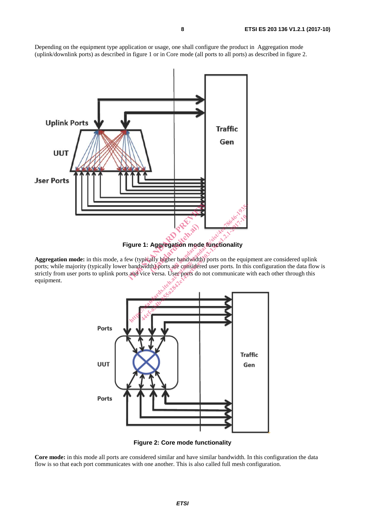Depending on the equipment type application or usage, one shall configure the product in Aggregation mode (uplink/downlink ports) as described in figure 1 or in Core mode (all ports to all ports) as described in figure 2.



**Figure 1: Aggregation mode functionality** 

**Aggregation mode:** in this mode, a few (typically higher bandwidth) ports on the equipment are considered uplink ports; while majority (typically lower bandwidth) ports are considered user ports. In this configuration the data flow is strictly from user ports to uplink ports and vice versa. User ports do not communicate with each other through this equipment. Full on mode<br>There bandwidth



**Figure 2: Core mode functionality** 

Core mode: in this mode all ports are considered similar and have similar bandwidth. In this configuration the data flow is so that each port communicates with one another. This is also called full mesh configuration.